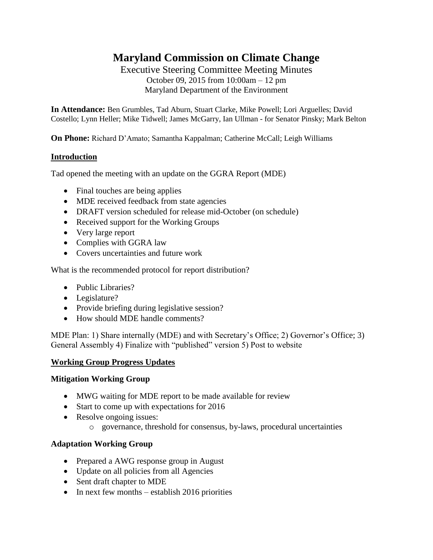# **Maryland Commission on Climate Change**

Executive Steering Committee Meeting Minutes October 09, 2015 from 10:00am – 12 pm Maryland Department of the Environment

**In Attendance:** Ben Grumbles, Tad Aburn, Stuart Clarke, Mike Powell; Lori Arguelles; David Costello; Lynn Heller; Mike Tidwell; James McGarry, Ian Ullman - for Senator Pinsky; Mark Belton

**On Phone:** Richard D'Amato; Samantha Kappalman; Catherine McCall; Leigh Williams

### **Introduction**

Tad opened the meeting with an update on the GGRA Report (MDE)

- Final touches are being applies
- MDE received feedback from state agencies
- DRAFT version scheduled for release mid-October (on schedule)
- Received support for the Working Groups
- Very large report
- Complies with GGRA law
- Covers uncertainties and future work

What is the recommended protocol for report distribution?

- Public Libraries?
- Legislature?
- Provide briefing during legislative session?
- How should MDE handle comments?

MDE Plan: 1) Share internally (MDE) and with Secretary's Office; 2) Governor's Office; 3) General Assembly 4) Finalize with "published" version 5) Post to website

#### **Working Group Progress Updates**

#### **Mitigation Working Group**

- MWG waiting for MDE report to be made available for review
- Start to come up with expectations for 2016
- Resolve ongoing issues:
	- o governance, threshold for consensus, by-laws, procedural uncertainties

#### **Adaptation Working Group**

- Prepared a AWG response group in August
- Update on all policies from all Agencies
- Sent draft chapter to MDE
- $\bullet$  In next few months establish 2016 priorities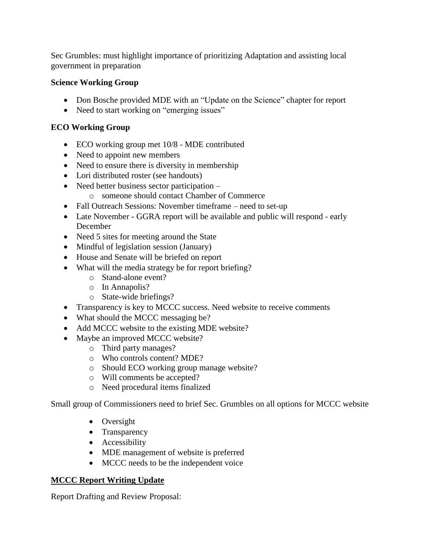Sec Grumbles: must highlight importance of prioritizing Adaptation and assisting local government in preparation

## **Science Working Group**

- Don Bosche provided MDE with an "Update on the Science" chapter for report
- Need to start working on "emerging issues"

# **ECO Working Group**

- ECO working group met 10/8 MDE contributed
- Need to appoint new members
- Need to ensure there is diversity in membership
- Lori distributed roster (see handouts)
- Need better business sector participation o someone should contact Chamber of Commerce
- Fall Outreach Sessions: November timeframe need to set-up
- Late November GGRA report will be available and public will respond early December
- Need 5 sites for meeting around the State
- Mindful of legislation session (January)
- House and Senate will be briefed on report
- What will the media strategy be for report briefing?
	- o Stand-alone event?
		- o In Annapolis?
		- o State-wide briefings?
- Transparency is key to MCCC success. Need website to receive comments
- What should the MCCC messaging be?
- Add MCCC website to the existing MDE website?
- Maybe an improved MCCC website?
	- o Third party manages?
	- o Who controls content? MDE?
	- o Should ECO working group manage website?
	- o Will comments be accepted?
	- o Need procedural items finalized

Small group of Commissioners need to brief Sec. Grumbles on all options for MCCC website

- Oversight
- Transparency
- Accessibility
- MDE management of website is preferred
- MCCC needs to be the independent voice

# **MCCC Report Writing Update**

Report Drafting and Review Proposal: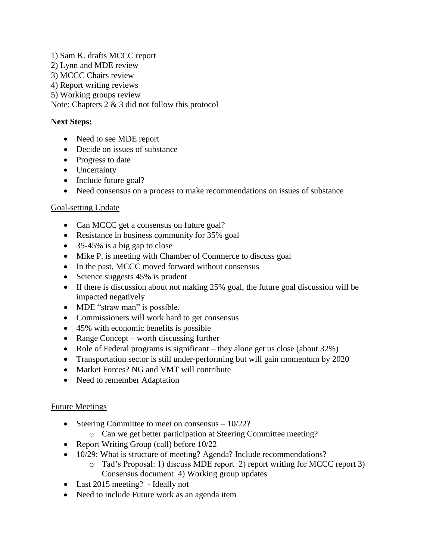1) Sam K. drafts MCCC report

- 2) Lynn and MDE review
- 3) MCCC Chairs review
- 4) Report writing reviews
- 5) Working groups review

Note: Chapters 2 & 3 did not follow this protocol

### **Next Steps:**

- Need to see MDE report
- Decide on issues of substance
- Progress to date
- Uncertainty
- Include future goal?
- Need consensus on a process to make recommendations on issues of substance

### Goal-setting Update

- Can MCCC get a consensus on future goal?
- Resistance in business community for 35% goal
- 35-45% is a big gap to close
- Mike P. is meeting with Chamber of Commerce to discuss goal
- In the past, MCCC moved forward without consensus
- Science suggests  $45\%$  is prudent
- If there is discussion about not making 25% goal, the future goal discussion will be impacted negatively
- MDE "straw man" is possible.
- Commissioners will work hard to get consensus
- 45% with economic benefits is possible
- Range Concept worth discussing further
- Role of Federal programs is significant they alone get us close (about 32%)
- Transportation sector is still under-performing but will gain momentum by 2020
- Market Forces? NG and VMT will contribute
- Need to remember Adaptation

### Future Meetings

- Steering Committee to meet on consensus  $-10/22$ ?
	- o Can we get better participation at Steering Committee meeting?
- Report Writing Group (call) before  $10/22$
- 10/29: What is structure of meeting? Agenda? Include recommendations?
	- o Tad's Proposal: 1) discuss MDE report 2) report writing for MCCC report 3) Consensus document 4) Working group updates
- Last 2015 meeting? Ideally not
- Need to include Future work as an agenda item